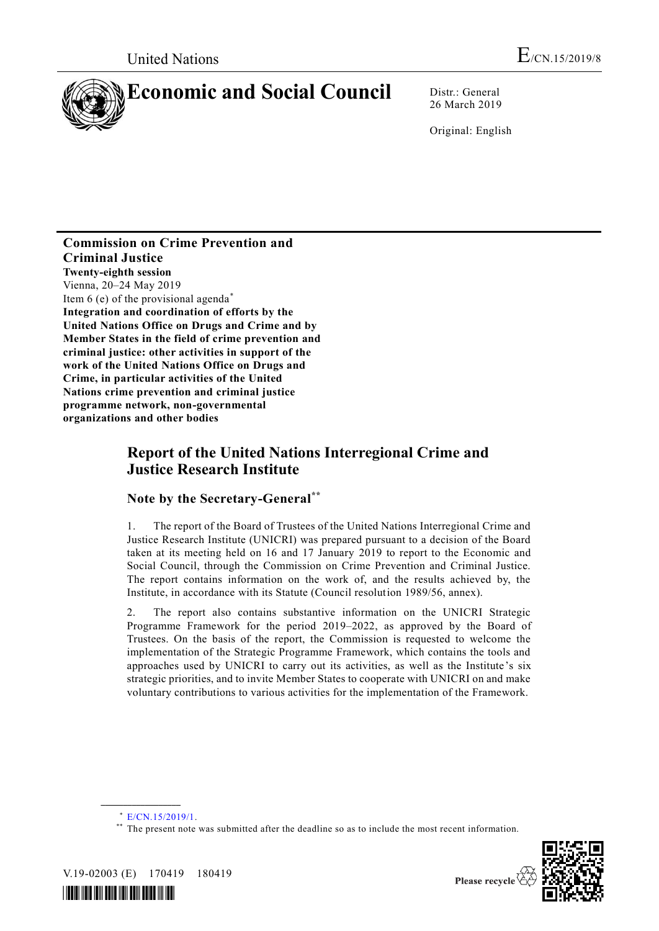

26 March 2019

Original: English

#### **Commission on Crime Prevention and Criminal Justice Twenty-eighth session** Vienna, 20–24 May 2019 Item 6 (e) of the provisional agenda\* **Integration and coordination of efforts by the United Nations Office on Drugs and Crime and by Member States in the field of crime prevention and criminal justice: other activities in support of the work of the United Nations Office on Drugs and Crime, in particular activities of the United Nations crime prevention and criminal justice programme network, non-governmental organizations and other bodies**

# **Report of the United Nations Interregional Crime and Justice Research Institute**

### **Note by the Secretary-General\*\***

1. The report of the Board of Trustees of the United Nations Interregional Crime and Justice Research Institute (UNICRI) was prepared pursuant to a decision of the Board taken at its meeting held on 16 and 17 January 2019 to report to the Economic and Social Council, through the Commission on Crime Prevention and Criminal Justice. The report contains information on the work of, and the results achieved by, the Institute, in accordance with its Statute (Council resolution 1989/56, annex).

2. The report also contains substantive information on the UNICRI Strategic Programme Framework for the period 2019–2022, as approved by the Board of Trustees. On the basis of the report, the Commission is requested to welcome the implementation of the Strategic Programme Framework, which contains the tools and approaches used by UNICRI to carry out its activities, as well as the Institute's six strategic priorities, and to invite Member States to cooperate with UNICRI on and make voluntary contributions to various activities for the implementation of the Framework.

<sup>\*\*</sup> The present note was submitted after the deadline so as to include the most recent information.



V.19-02003 (E) 170419 180419

**\_\_\_\_\_\_\_\_\_\_\_\_\_\_\_\_\_\_**



<sup>\*</sup> [E/CN.15/2019/1.](http://undocs.org/E/CN.15/2019/1)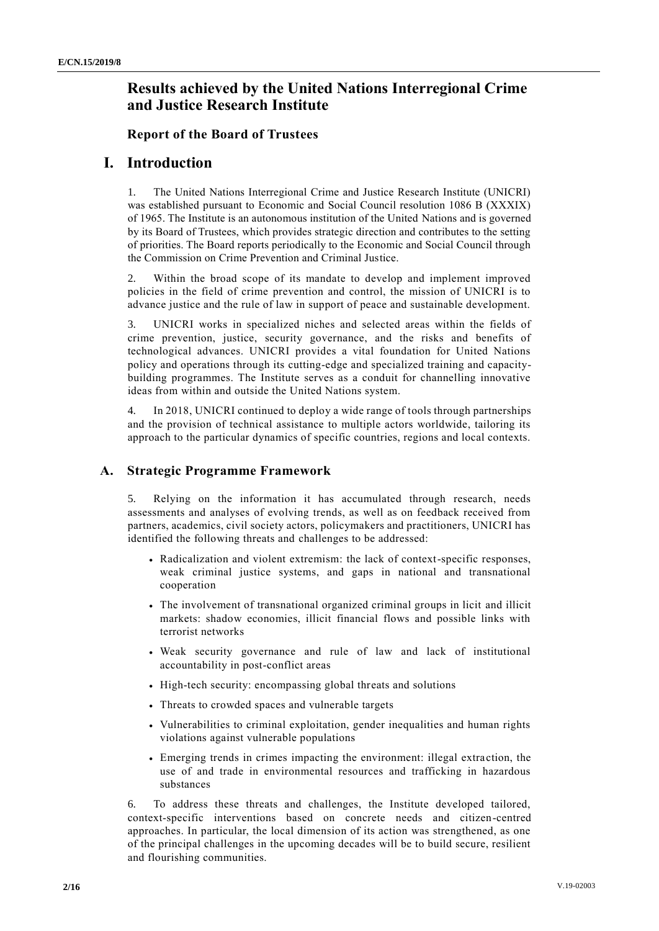# **Results achieved by the United Nations Interregional Crime and Justice Research Institute**

#### **Report of the Board of Trustees**

## **I. Introduction**

1. The United Nations Interregional Crime and Justice Research Institute (UNICRI) was established pursuant to Economic and Social Council resolution 1086 B (XXXIX) of 1965. The Institute is an autonomous institution of the United Nations and is governed by its Board of Trustees, which provides strategic direction and contributes to the setting of priorities. The Board reports periodically to the Economic and Social Council through the Commission on Crime Prevention and Criminal Justice.

2. Within the broad scope of its mandate to develop and implement improved policies in the field of crime prevention and control, the mission of UNICRI is to advance justice and the rule of law in support of peace and sustainable development.

3. UNICRI works in specialized niches and selected areas within the fields of crime prevention, justice, security governance, and the risks and benefits of technological advances. UNICRI provides a vital foundation for United Nations policy and operations through its cutting-edge and specialized training and capacitybuilding programmes. The Institute serves as a conduit for channelling innovative ideas from within and outside the United Nations system.

4. In 2018, UNICRI continued to deploy a wide range of tools through partnerships and the provision of technical assistance to multiple actors worldwide, tailoring its approach to the particular dynamics of specific countries, regions and local contexts.

### **A. Strategic Programme Framework**

5. Relying on the information it has accumulated through research, needs assessments and analyses of evolving trends, as well as on feedback received from partners, academics, civil society actors, policymakers and practitioners, UNICRI has identified the following threats and challenges to be addressed:

- Radicalization and violent extremism: the lack of context-specific responses, weak criminal justice systems, and gaps in national and transnational cooperation
- The involvement of transnational organized criminal groups in licit and illicit markets: shadow economies, illicit financial flows and possible links with terrorist networks
- Weak security governance and rule of law and lack of institutional accountability in post-conflict areas
- High-tech security: encompassing global threats and solutions
- Threats to crowded spaces and vulnerable targets
- Vulnerabilities to criminal exploitation, gender inequalities and human rights violations against vulnerable populations
- Emerging trends in crimes impacting the environment: illegal extra ction, the use of and trade in environmental resources and trafficking in hazardous substances

6. To address these threats and challenges, the Institute developed tailored, context-specific interventions based on concrete needs and citizen-centred approaches. In particular, the local dimension of its action was strengthened, as one of the principal challenges in the upcoming decades will be to build secure, resilient and flourishing communities.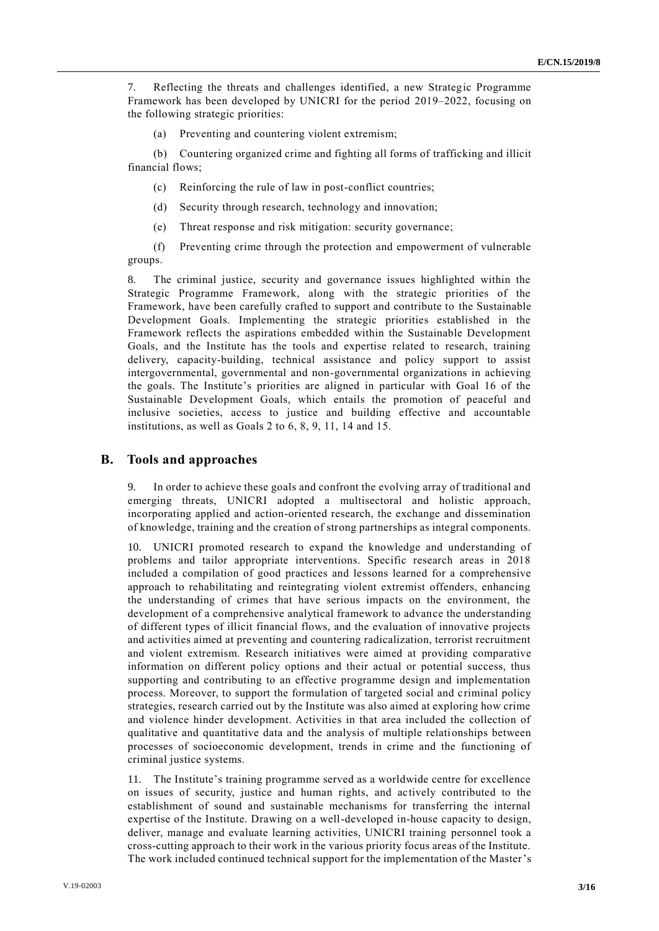7. Reflecting the threats and challenges identified, a new Strategic Programme Framework has been developed by UNICRI for the period 2019–2022, focusing on the following strategic priorities:

(a) Preventing and countering violent extremism;

(b) Countering organized crime and fighting all forms of trafficking and illicit financial flows;

- (c) Reinforcing the rule of law in post-conflict countries;
- (d) Security through research, technology and innovation;
- (e) Threat response and risk mitigation: security governance;

(f) Preventing crime through the protection and empowerment of vulnerable groups.

8. The criminal justice, security and governance issues highlighted within the Strategic Programme Framework, along with the strategic priorities of the Framework, have been carefully crafted to support and contribute to the Sustainable Development Goals. Implementing the strategic priorities established in the Framework reflects the aspirations embedded within the Sustainable Development Goals, and the Institute has the tools and expertise related to research, training delivery, capacity-building, technical assistance and policy support to assist intergovernmental, governmental and non-governmental organizations in achieving the goals. The Institute's priorities are aligned in particular with Goal 16 of the Sustainable Development Goals, which entails the promotion of peaceful and inclusive societies, access to justice and building effective and accountable institutions, as well as Goals 2 to 6, 8, 9, 11, 14 and 15.

#### **B. Tools and approaches**

In order to achieve these goals and confront the evolving array of traditional and emerging threats, UNICRI adopted a multisectoral and holistic approach, incorporating applied and action-oriented research, the exchange and dissemination of knowledge, training and the creation of strong partnerships as integral components.

10. UNICRI promoted research to expand the knowledge and understanding of problems and tailor appropriate interventions. Specific research areas in 2018 included a compilation of good practices and lessons learned for a comprehensive approach to rehabilitating and reintegrating violent extremist offenders, enhancing the understanding of crimes that have serious impacts on the environment, the development of a comprehensive analytical framework to advance the understanding of different types of illicit financial flows, and the evaluation of innovative projects and activities aimed at preventing and countering radicalization, terrorist recruitment and violent extremism. Research initiatives were aimed at providing comparative information on different policy options and their actual or potential success, thus supporting and contributing to an effective programme design and implementation process. Moreover, to support the formulation of targeted social and criminal policy strategies, research carried out by the Institute was also aimed at exploring how crime and violence hinder development. Activities in that area included the collection of qualitative and quantitative data and the analysis of multiple relationships between processes of socioeconomic development, trends in crime and the functioning of criminal justice systems.

11. The Institute's training programme served as a worldwide centre for excellence on issues of security, justice and human rights, and actively contributed to the establishment of sound and sustainable mechanisms for transferring the internal expertise of the Institute. Drawing on a well-developed in-house capacity to design, deliver, manage and evaluate learning activities, UNICRI training personnel took a cross-cutting approach to their work in the various priority focus areas of the Institute. The work included continued technical support for the implementation of the Master's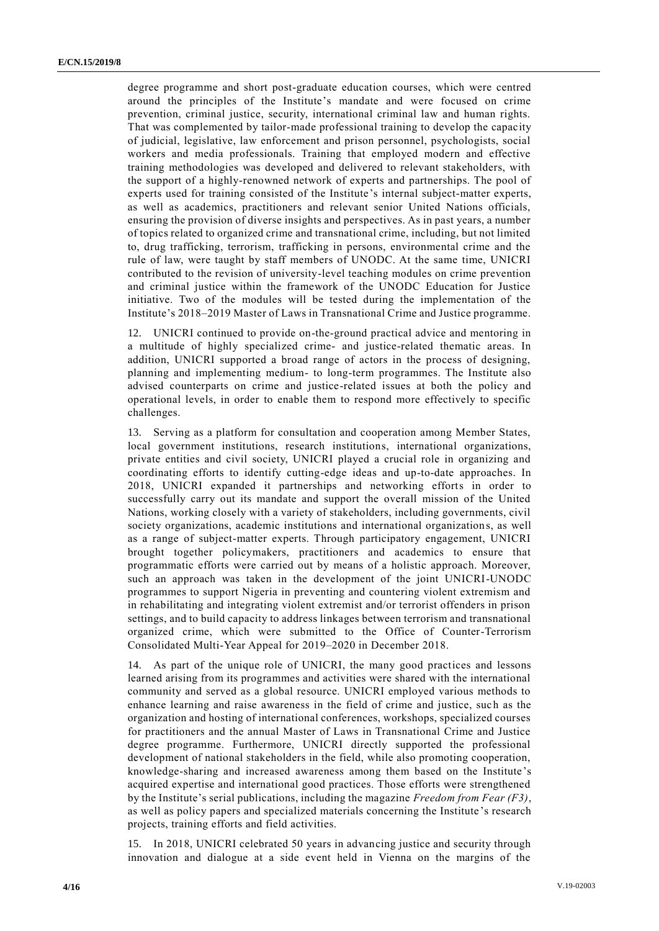degree programme and short post-graduate education courses, which were centred around the principles of the Institute's mandate and were focused on crime prevention, criminal justice, security, international criminal law and human rights. That was complemented by tailor-made professional training to develop the capacity of judicial, legislative, law enforcement and prison personnel, psychologists, social workers and media professionals. Training that employed modern and effective training methodologies was developed and delivered to relevant stakeholders, with the support of a highly-renowned network of experts and partnerships. The pool of experts used for training consisted of the Institute's internal subject-matter experts, as well as academics, practitioners and relevant senior United Nations officials, ensuring the provision of diverse insights and perspectives. As in past years, a number of topics related to organized crime and transnational crime, including, but not limited to, drug trafficking, terrorism, trafficking in persons, environmental crime and the rule of law, were taught by staff members of UNODC. At the same time, UNICRI contributed to the revision of university-level teaching modules on crime prevention and criminal justice within the framework of the UNODC Education for Justice initiative. Two of the modules will be tested during the implementation of the Institute's 2018–2019 Master of Laws in Transnational Crime and Justice programme.

12. UNICRI continued to provide on-the-ground practical advice and mentoring in a multitude of highly specialized crime- and justice-related thematic areas. In addition, UNICRI supported a broad range of actors in the process of designing, planning and implementing medium- to long-term programmes. The Institute also advised counterparts on crime and justice-related issues at both the policy and operational levels, in order to enable them to respond more effectively to specific challenges.

13. Serving as a platform for consultation and cooperation among Member States, local government institutions, research institutions, international organizations, private entities and civil society, UNICRI played a crucial role in organizing and coordinating efforts to identify cutting-edge ideas and up-to-date approaches. In 2018, UNICRI expanded it partnerships and networking efforts in order to successfully carry out its mandate and support the overall mission of the United Nations, working closely with a variety of stakeholders, including governments, civil society organizations, academic institutions and international organizations, as well as a range of subject-matter experts. Through participatory engagement, UNICRI brought together policymakers, practitioners and academics to ensure that programmatic efforts were carried out by means of a holistic approach. Moreover, such an approach was taken in the development of the joint UNICRI-UNODC programmes to support Nigeria in preventing and countering violent extremism and in rehabilitating and integrating violent extremist and/or terrorist offenders in prison settings, and to build capacity to address linkages between terrorism and transnational organized crime, which were submitted to the Office of Counter-Terrorism Consolidated Multi-Year Appeal for 2019–2020 in December 2018.

14. As part of the unique role of UNICRI, the many good practices and lessons learned arising from its programmes and activities were shared with the international community and served as a global resource. UNICRI employed various methods to enhance learning and raise awareness in the field of crime and justice, such as the organization and hosting of international conferences, workshops, specialized courses for practitioners and the annual Master of Laws in Transnational Crime and Justice degree programme. Furthermore, UNICRI directly supported the professional development of national stakeholders in the field, while also promoting cooperation, knowledge-sharing and increased awareness among them based on the Institute 's acquired expertise and international good practices. Those efforts were strengthened by the Institute's serial publications, including the magazine *Freedom from Fear (F3)*, as well as policy papers and specialized materials concerning the Institute 's research projects, training efforts and field activities.

15. In 2018, UNICRI celebrated 50 years in advancing justice and security through innovation and dialogue at a side event held in Vienna on the margins of the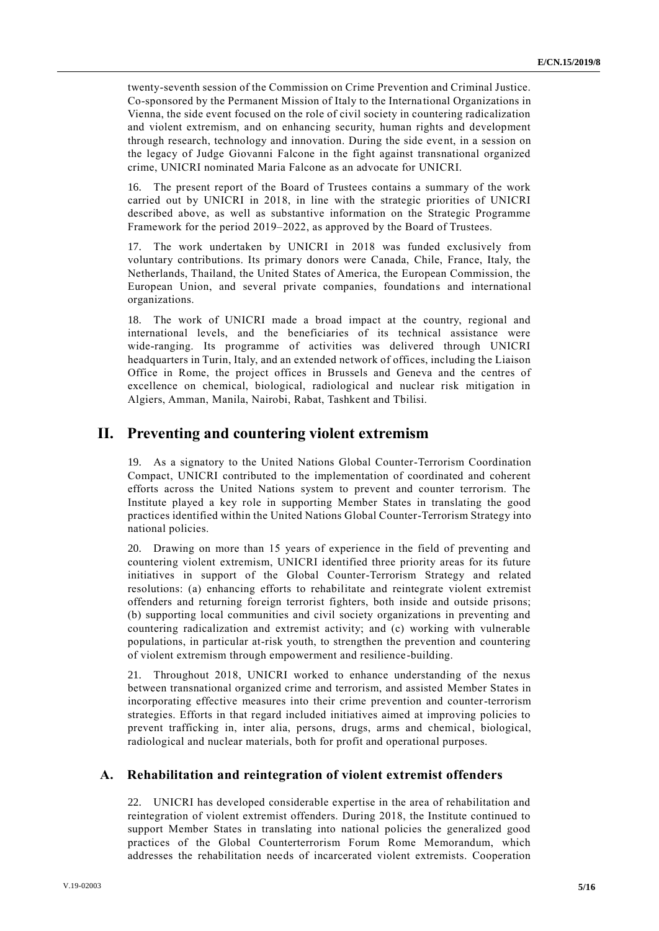twenty-seventh session of the Commission on Crime Prevention and Criminal Justice. Co-sponsored by the Permanent Mission of Italy to the International Organizations in Vienna, the side event focused on the role of civil society in countering radicalization and violent extremism, and on enhancing security, human rights and development through research, technology and innovation. During the side event, in a session on the legacy of Judge Giovanni Falcone in the fight against transnational organized crime, UNICRI nominated Maria Falcone as an advocate for UNICRI.

16. The present report of the Board of Trustees contains a summary of the work carried out by UNICRI in 2018, in line with the strategic priorities of UNICRI described above, as well as substantive information on the Strategic Programme Framework for the period 2019–2022, as approved by the Board of Trustees.

17. The work undertaken by UNICRI in 2018 was funded exclusively from voluntary contributions. Its primary donors were Canada, Chile, France, Italy, the Netherlands, Thailand, the United States of America, the European Commission, the European Union, and several private companies, foundations and international organizations.

18. The work of UNICRI made a broad impact at the country, regional and international levels, and the beneficiaries of its technical assistance were wide-ranging. Its programme of activities was delivered through UNICRI headquarters in Turin, Italy, and an extended network of offices, including the Liaison Office in Rome, the project offices in Brussels and Geneva and the centres of excellence on chemical, biological, radiological and nuclear risk mitigation in Algiers, Amman, Manila, Nairobi, Rabat, Tashkent and Tbilisi.

### **II. Preventing and countering violent extremism**

19. As a signatory to the United Nations Global Counter-Terrorism Coordination Compact, UNICRI contributed to the implementation of coordinated and coherent efforts across the United Nations system to prevent and counter terrorism. The Institute played a key role in supporting Member States in translating the good practices identified within the United Nations Global Counter-Terrorism Strategy into national policies.

20. Drawing on more than 15 years of experience in the field of preventing and countering violent extremism, UNICRI identified three priority areas for its future initiatives in support of the Global Counter-Terrorism Strategy and related resolutions: (a) enhancing efforts to rehabilitate and reintegrate violent extremist offenders and returning foreign terrorist fighters, both inside and outside prisons; (b) supporting local communities and civil society organizations in preventing and countering radicalization and extremist activity; and (c) working with vulnerable populations, in particular at-risk youth, to strengthen the prevention and countering of violent extremism through empowerment and resilience-building.

21. Throughout 2018, UNICRI worked to enhance understanding of the nexus between transnational organized crime and terrorism, and assisted Member States in incorporating effective measures into their crime prevention and counter-terrorism strategies. Efforts in that regard included initiatives aimed at improving policies to prevent trafficking in, inter alia, persons, drugs, arms and chemical, biological, radiological and nuclear materials, both for profit and operational purposes.

#### **A. Rehabilitation and reintegration of violent extremist offenders**

22. UNICRI has developed considerable expertise in the area of rehabilitation and reintegration of violent extremist offenders. During 2018, the Institute continued to support Member States in translating into national policies the generalized good practices of the Global Counterterrorism Forum Rome Memorandum, which addresses the rehabilitation needs of incarcerated violent extremists. Cooperation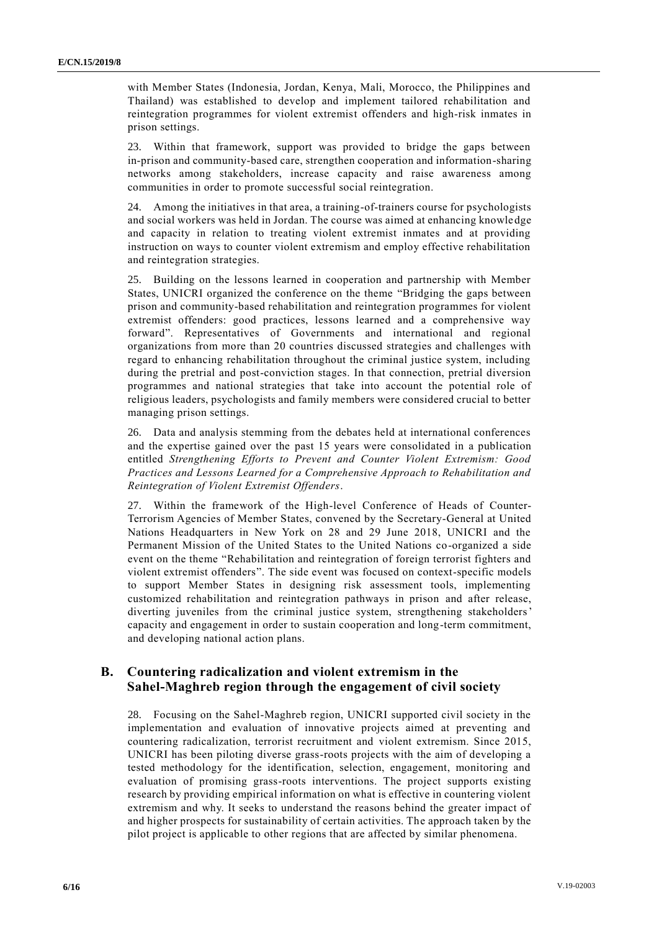with Member States (Indonesia, Jordan, Kenya, Mali, Morocco, the Philippines and Thailand) was established to develop and implement tailored rehabilitation and reintegration programmes for violent extremist offenders and high-risk inmates in prison settings.

23. Within that framework, support was provided to bridge the gaps between in-prison and community-based care, strengthen cooperation and information-sharing networks among stakeholders, increase capacity and raise awareness among communities in order to promote successful social reintegration.

24. Among the initiatives in that area, a training-of-trainers course for psychologists and social workers was held in Jordan. The course was aimed at enhancing knowledge and capacity in relation to treating violent extremist inmates and at providing instruction on ways to counter violent extremism and employ effective rehabilitation and reintegration strategies.

25. Building on the lessons learned in cooperation and partnership with Member States, UNICRI organized the conference on the theme "Bridging the gaps between prison and community-based rehabilitation and reintegration programmes for violent extremist offenders: good practices, lessons learned and a comprehensive way forward". Representatives of Governments and international and regional organizations from more than 20 countries discussed strategies and challenges with regard to enhancing rehabilitation throughout the criminal justice system, including during the pretrial and post-conviction stages. In that connection, pretrial diversion programmes and national strategies that take into account the potential role of religious leaders, psychologists and family members were considered crucial to better managing prison settings.

26. Data and analysis stemming from the debates held at international conferences and the expertise gained over the past 15 years were consolidated in a publication entitled *Strengthening Efforts to Prevent and Counter Violent Extremism: Good Practices and Lessons Learned for a Comprehensive Approach to Rehabilitation and Reintegration of Violent Extremist Offenders*.

27. Within the framework of the High-level Conference of Heads of Counter-Terrorism Agencies of Member States, convened by the Secretary-General at United Nations Headquarters in New York on 28 and 29 June 2018, UNICRI and the Permanent Mission of the United States to the United Nations co-organized a side event on the theme "Rehabilitation and reintegration of foreign terrorist fighters and violent extremist offenders". The side event was focused on context-specific models to support Member States in designing risk assessment tools, implementing customized rehabilitation and reintegration pathways in prison and after release, diverting juveniles from the criminal justice system, strengthening stakeholders' capacity and engagement in order to sustain cooperation and long-term commitment, and developing national action plans.

#### **B. Countering radicalization and violent extremism in the Sahel-Maghreb region through the engagement of civil society**

28. Focusing on the Sahel-Maghreb region, UNICRI supported civil society in the implementation and evaluation of innovative projects aimed at preventing and countering radicalization, terrorist recruitment and violent extremism. Since 2015, UNICRI has been piloting diverse grass-roots projects with the aim of developing a tested methodology for the identification, selection, engagement, monitoring and evaluation of promising grass-roots interventions. The project supports existing research by providing empirical information on what is effective in countering violent extremism and why. It seeks to understand the reasons behind the greater impact of and higher prospects for sustainability of certain activities. The approach taken by the pilot project is applicable to other regions that are affected by similar phenomena.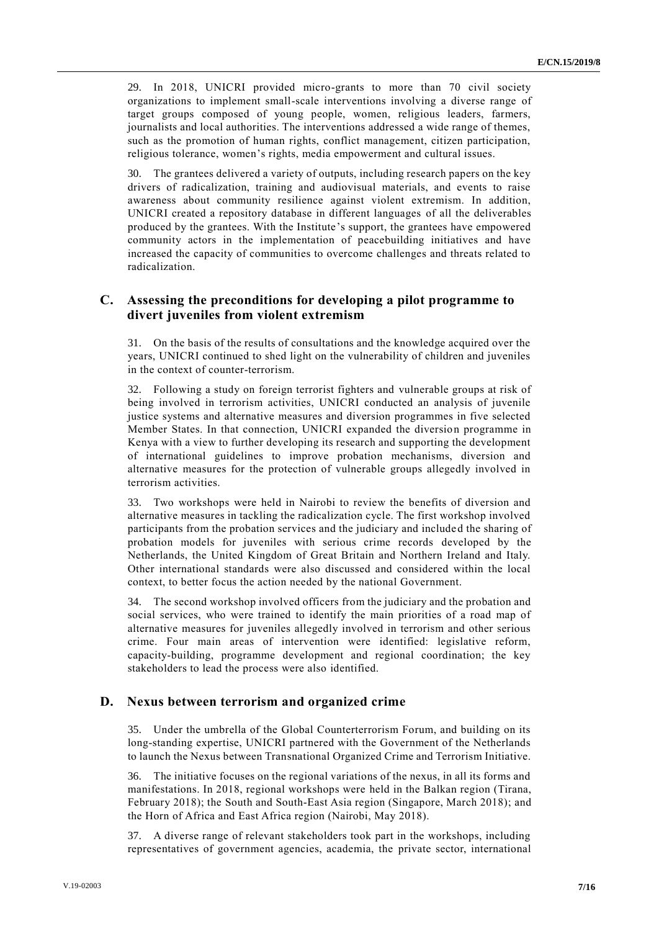29. In 2018, UNICRI provided micro-grants to more than 70 civil society organizations to implement small-scale interventions involving a diverse range of target groups composed of young people, women, religious leaders, farmers, journalists and local authorities. The interventions addressed a wide range of themes, such as the promotion of human rights, conflict management, citizen participation, religious tolerance, women's rights, media empowerment and cultural issues.

30. The grantees delivered a variety of outputs, including research papers on the key drivers of radicalization, training and audiovisual materials, and events to raise awareness about community resilience against violent extremism. In addition, UNICRI created a repository database in different languages of all the deliverables produced by the grantees. With the Institute's support, the grantees have empowered community actors in the implementation of peacebuilding initiatives and have increased the capacity of communities to overcome challenges and threats related to radicalization.

#### **C. Assessing the preconditions for developing a pilot programme to divert juveniles from violent extremism**

31. On the basis of the results of consultations and the knowledge acquired over the years, UNICRI continued to shed light on the vulnerability of children and juveniles in the context of counter-terrorism.

32. Following a study on foreign terrorist fighters and vulnerable groups at risk of being involved in terrorism activities, UNICRI conducted an analysis of juvenile justice systems and alternative measures and diversion programmes in five selected Member States. In that connection, UNICRI expanded the diversion programme in Kenya with a view to further developing its research and supporting the development of international guidelines to improve probation mechanisms, diversion and alternative measures for the protection of vulnerable groups allegedly involved in terrorism activities.

33. Two workshops were held in Nairobi to review the benefits of diversion and alternative measures in tackling the radicalization cycle. The first workshop involved participants from the probation services and the judiciary and included the sharing of probation models for juveniles with serious crime records developed by the Netherlands, the United Kingdom of Great Britain and Northern Ireland and Italy. Other international standards were also discussed and considered within the local context, to better focus the action needed by the national Government.

34. The second workshop involved officers from the judiciary and the probation and social services, who were trained to identify the main priorities of a road map of alternative measures for juveniles allegedly involved in terrorism and other serious crime. Four main areas of intervention were identified: legislative reform, capacity-building, programme development and regional coordination; the key stakeholders to lead the process were also identified.

#### **D. Nexus between terrorism and organized crime**

35. Under the umbrella of the Global Counterterrorism Forum, and building on its long-standing expertise, UNICRI partnered with the Government of the Netherlands to launch the Nexus between Transnational Organized Crime and Terrorism Initiative.

36. The initiative focuses on the regional variations of the nexus, in all its forms and manifestations. In 2018, regional workshops were held in the Balkan region (Tirana, February 2018); the South and South-East Asia region (Singapore, March 2018); and the Horn of Africa and East Africa region (Nairobi, May 2018).

37. A diverse range of relevant stakeholders took part in the workshops, including representatives of government agencies, academia, the private sector, international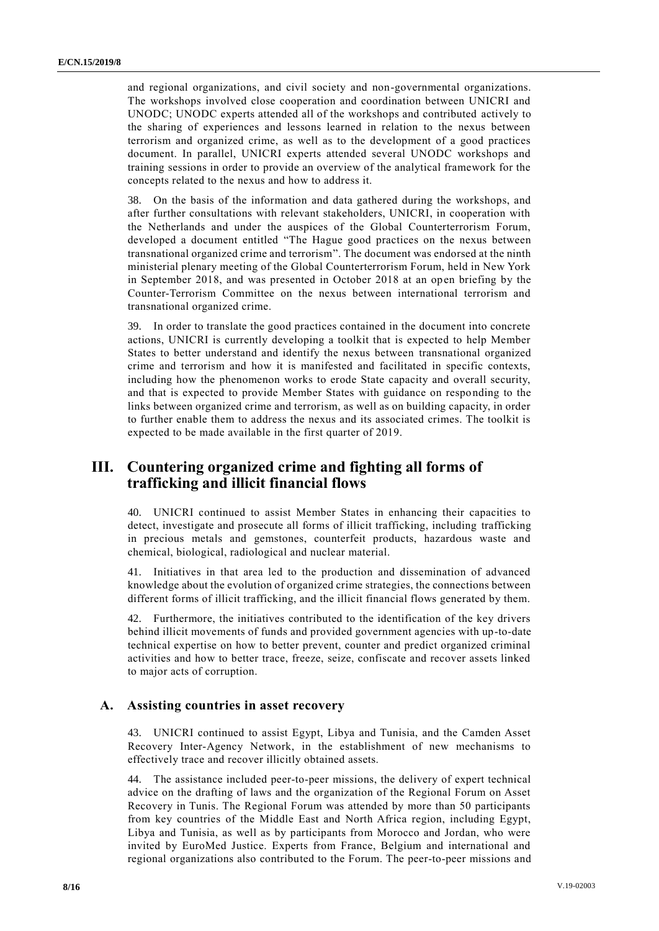and regional organizations, and civil society and non-governmental organizations. The workshops involved close cooperation and coordination between UNICRI and UNODC; UNODC experts attended all of the workshops and contributed actively to the sharing of experiences and lessons learned in relation to the nexus between terrorism and organized crime, as well as to the development of a good practices document. In parallel, UNICRI experts attended several UNODC workshops and training sessions in order to provide an overview of the analytical framework for the concepts related to the nexus and how to address it.

38. On the basis of the information and data gathered during the workshops, and after further consultations with relevant stakeholders, UNICRI, in cooperation with the Netherlands and under the auspices of the Global Counterterrorism Forum, developed a document entitled "The Hague good practices on the nexus between transnational organized crime and terrorism". The document was endorsed at the ninth ministerial plenary meeting of the Global Counterterrorism Forum, held in New York in September 2018, and was presented in October 2018 at an open briefing by the Counter-Terrorism Committee on the nexus between international terrorism and transnational organized crime.

39. In order to translate the good practices contained in the document into concrete actions, UNICRI is currently developing a toolkit that is expected to help Member States to better understand and identify the nexus between transnational organized crime and terrorism and how it is manifested and facilitated in specific contexts, including how the phenomenon works to erode State capacity and overall security, and that is expected to provide Member States with guidance on responding to the links between organized crime and terrorism, as well as on building capacity, in order to further enable them to address the nexus and its associated crimes. The toolkit is expected to be made available in the first quarter of 2019.

# **III. Countering organized crime and fighting all forms of trafficking and illicit financial flows**

40. UNICRI continued to assist Member States in enhancing their capacities to detect, investigate and prosecute all forms of illicit trafficking, including trafficking in precious metals and gemstones, counterfeit products, hazardous waste and chemical, biological, radiological and nuclear material.

41. Initiatives in that area led to the production and dissemination of advanced knowledge about the evolution of organized crime strategies, the connections between different forms of illicit trafficking, and the illicit financial flows generated by them.

42. Furthermore, the initiatives contributed to the identification of the key drivers behind illicit movements of funds and provided government agencies with up-to-date technical expertise on how to better prevent, counter and predict organized criminal activities and how to better trace, freeze, seize, confiscate and recover assets linked to major acts of corruption.

#### **A. Assisting countries in asset recovery**

43. UNICRI continued to assist Egypt, Libya and Tunisia, and the Camden Asset Recovery Inter-Agency Network, in the establishment of new mechanisms to effectively trace and recover illicitly obtained assets.

44. The assistance included peer-to-peer missions, the delivery of expert technical advice on the drafting of laws and the organization of the Regional Forum on Asset Recovery in Tunis. The Regional Forum was attended by more than 50 participants from key countries of the Middle East and North Africa region, including Egypt, Libya and Tunisia, as well as by participants from Morocco and Jordan, who were invited by EuroMed Justice. Experts from France, Belgium and international and regional organizations also contributed to the Forum. The peer-to-peer missions and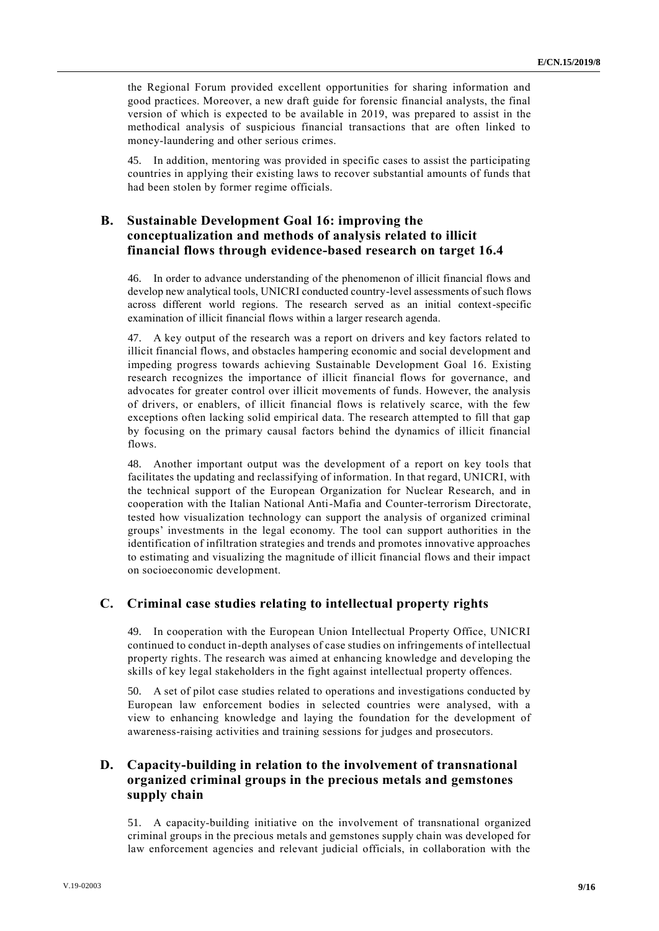the Regional Forum provided excellent opportunities for sharing information and good practices. Moreover, a new draft guide for forensic financial analysts, the final version of which is expected to be available in 2019, was prepared to assist in the methodical analysis of suspicious financial transactions that are often linked to money-laundering and other serious crimes.

45. In addition, mentoring was provided in specific cases to assist the participating countries in applying their existing laws to recover substantial amounts of funds that had been stolen by former regime officials.

#### **B. Sustainable Development Goal 16: improving the conceptualization and methods of analysis related to illicit financial flows through evidence-based research on target 16.4**

46. In order to advance understanding of the phenomenon of illicit financial flows and develop new analytical tools, UNICRI conducted country-level assessments of such flows across different world regions. The research served as an initial context-specific examination of illicit financial flows within a larger research agenda.

47. A key output of the research was a report on drivers and key factors related to illicit financial flows, and obstacles hampering economic and social development and impeding progress towards achieving Sustainable Development Goal 16. Existing research recognizes the importance of illicit financial flows for governance, and advocates for greater control over illicit movements of funds. However, the analysis of drivers, or enablers, of illicit financial flows is relatively scarce, with the few exceptions often lacking solid empirical data. The research attempted to fill that gap by focusing on the primary causal factors behind the dynamics of illicit financial flows.

48. Another important output was the development of a report on key tools that facilitates the updating and reclassifying of information. In that regard, UNICRI, with the technical support of the European Organization for Nuclear Research, and in cooperation with the Italian National Anti-Mafia and Counter-terrorism Directorate, tested how visualization technology can support the analysis of organized criminal groups' investments in the legal economy. The tool can support authorities in the identification of infiltration strategies and trends and promotes innovative approaches to estimating and visualizing the magnitude of illicit financial flows and their impact on socioeconomic development.

#### **C. Criminal case studies relating to intellectual property rights**

49. In cooperation with the European Union Intellectual Property Office, UNICRI continued to conduct in-depth analyses of case studies on infringements of intellectual property rights. The research was aimed at enhancing knowledge and developing the skills of key legal stakeholders in the fight against intellectual property offences.

50. A set of pilot case studies related to operations and investigations conducted by European law enforcement bodies in selected countries were analysed, with a view to enhancing knowledge and laying the foundation for the development of awareness-raising activities and training sessions for judges and prosecutors.

### **D. Capacity-building in relation to the involvement of transnational organized criminal groups in the precious metals and gemstones supply chain**

51. A capacity-building initiative on the involvement of transnational organized criminal groups in the precious metals and gemstones supply chain was developed for law enforcement agencies and relevant judicial officials, in collaboration with the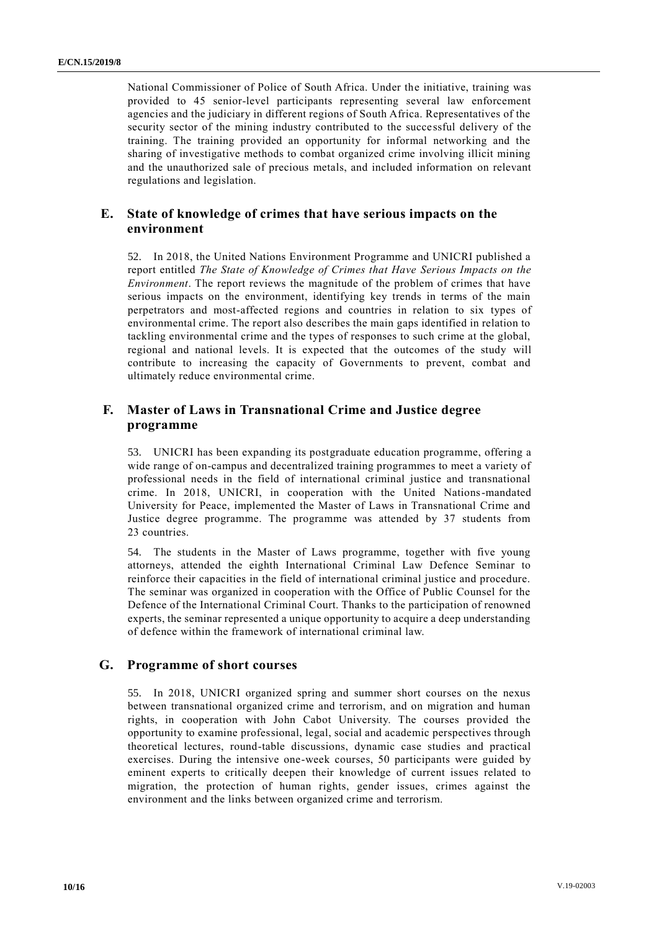National Commissioner of Police of South Africa. Under the initiative, training was provided to 45 senior-level participants representing several law enforcement agencies and the judiciary in different regions of South Africa. Representatives of the security sector of the mining industry contributed to the successful delivery of the training. The training provided an opportunity for informal networking and the sharing of investigative methods to combat organized crime involving illicit mining and the unauthorized sale of precious metals, and included information on relevant regulations and legislation.

#### **E. State of knowledge of crimes that have serious impacts on the environment**

52. In 2018, the United Nations Environment Programme and UNICRI published a report entitled *The State of Knowledge of Crimes that Have Serious Impacts on the Environment*. The report reviews the magnitude of the problem of crimes that have serious impacts on the environment, identifying key trends in terms of the main perpetrators and most-affected regions and countries in relation to six types of environmental crime. The report also describes the main gaps identified in relation to tackling environmental crime and the types of responses to such crime at the global, regional and national levels. It is expected that the outcomes of the study will contribute to increasing the capacity of Governments to prevent, combat and ultimately reduce environmental crime.

### **F. Master of Laws in Transnational Crime and Justice degree programme**

53. UNICRI has been expanding its postgraduate education programme, offering a wide range of on-campus and decentralized training programmes to meet a variety of professional needs in the field of international criminal justice and transnational crime. In 2018, UNICRI, in cooperation with the United Nations-mandated University for Peace, implemented the Master of Laws in Transnational Crime and Justice degree programme. The programme was attended by 37 students from 23 countries.

54. The students in the Master of Laws programme, together with five young attorneys, attended the eighth International Criminal Law Defence Seminar to reinforce their capacities in the field of international criminal justice and procedure. The seminar was organized in cooperation with the Office of Public Counsel for the Defence of the International Criminal Court. Thanks to the participation of renowned experts, the seminar represented a unique opportunity to acquire a deep understanding of defence within the framework of international criminal law.

#### **G. Programme of short courses**

55. In 2018, UNICRI organized spring and summer short courses on the nexus between transnational organized crime and terrorism, and on migration and human rights, in cooperation with John Cabot University. The courses provided the opportunity to examine professional, legal, social and academic perspectives through theoretical lectures, round-table discussions, dynamic case studies and practical exercises. During the intensive one-week courses, 50 participants were guided by eminent experts to critically deepen their knowledge of current issues related to migration, the protection of human rights, gender issues, crimes against the environment and the links between organized crime and terrorism.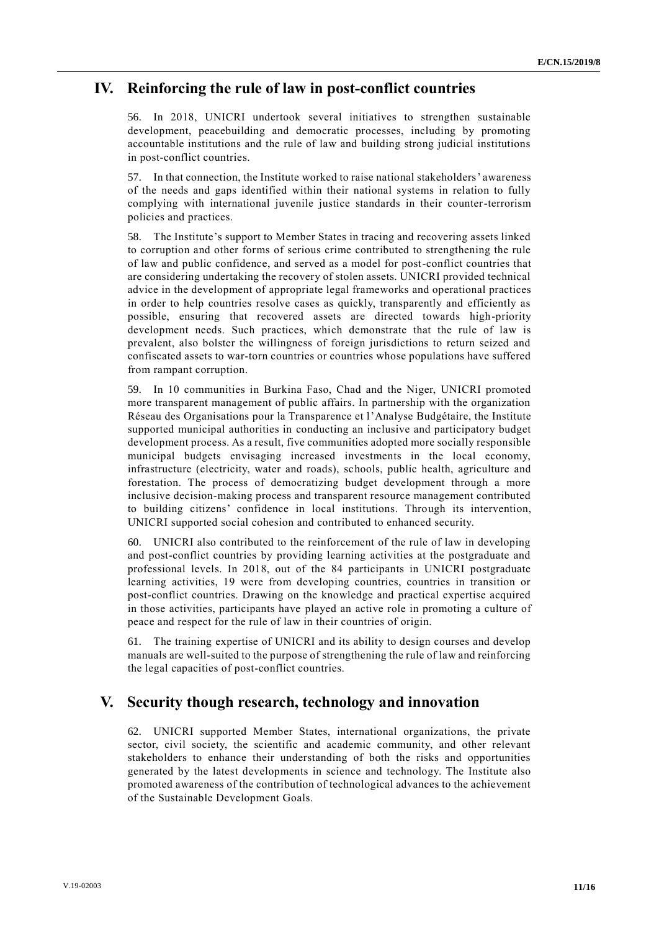### **IV. Reinforcing the rule of law in post-conflict countries**

56. In 2018, UNICRI undertook several initiatives to strengthen sustainable development, peacebuilding and democratic processes, including by promoting accountable institutions and the rule of law and building strong judicial institutions in post-conflict countries.

57. In that connection, the Institute worked to raise national stakeholders' awareness of the needs and gaps identified within their national systems in relation to fully complying with international juvenile justice standards in their counter-terrorism policies and practices.

58. The Institute's support to Member States in tracing and recovering assets linked to corruption and other forms of serious crime contributed to strengthening the rule of law and public confidence, and served as a model for post-conflict countries that are considering undertaking the recovery of stolen assets. UNICRI provided technical advice in the development of appropriate legal frameworks and operational practices in order to help countries resolve cases as quickly, transparently and efficiently as possible, ensuring that recovered assets are directed towards high-priority development needs. Such practices, which demonstrate that the rule of law is prevalent, also bolster the willingness of foreign jurisdictions to return seized and confiscated assets to war-torn countries or countries whose populations have suffered from rampant corruption.

59. In 10 communities in Burkina Faso, Chad and the Niger, UNICRI promoted more transparent management of public affairs. In partnership with the organization Réseau des Organisations pour la Transparence et l'Analyse Budgétaire, the Institute supported municipal authorities in conducting an inclusive and participatory budget development process. As a result, five communities adopted more socially responsible municipal budgets envisaging increased investments in the local economy, infrastructure (electricity, water and roads), schools, public health, agriculture and forestation. The process of democratizing budget development through a more inclusive decision-making process and transparent resource management contributed to building citizens' confidence in local institutions. Through its intervention, UNICRI supported social cohesion and contributed to enhanced security.

60. UNICRI also contributed to the reinforcement of the rule of law in developing and post-conflict countries by providing learning activities at the postgraduate and professional levels. In 2018, out of the 84 participants in UNICRI postgraduate learning activities, 19 were from developing countries, countries in transition or post-conflict countries. Drawing on the knowledge and practical expertise acquired in those activities, participants have played an active role in promoting a culture of peace and respect for the rule of law in their countries of origin.

61. The training expertise of UNICRI and its ability to design courses and develop manuals are well-suited to the purpose of strengthening the rule of law and reinforcing the legal capacities of post-conflict countries.

### **V. Security though research, technology and innovation**

62. UNICRI supported Member States, international organizations, the private sector, civil society, the scientific and academic community, and other relevant stakeholders to enhance their understanding of both the risks and opportunities generated by the latest developments in science and technology. The Institute also promoted awareness of the contribution of technological advances to the achievement of the Sustainable Development Goals.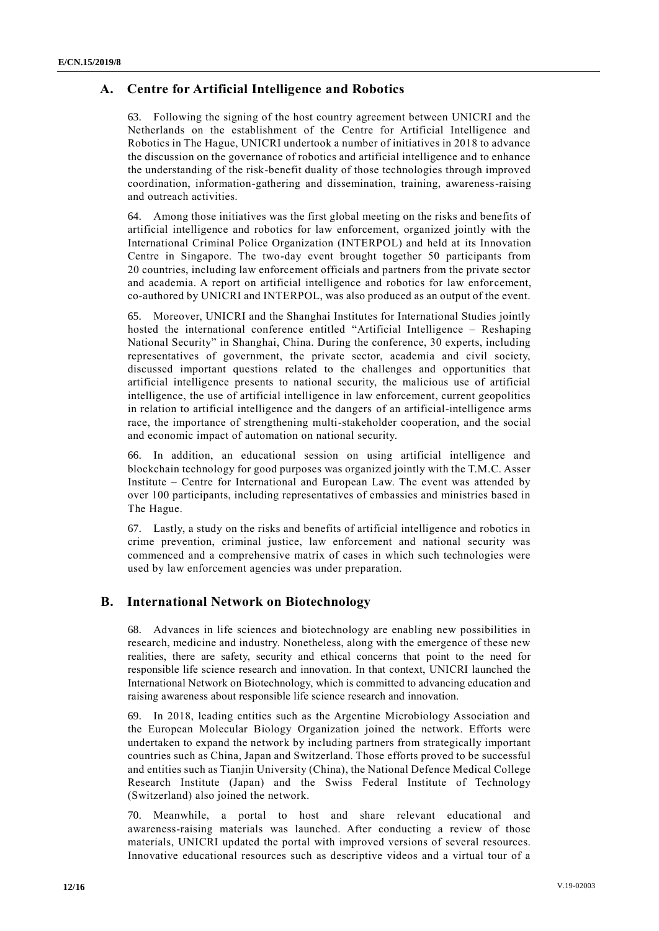### **A. Centre for Artificial Intelligence and Robotics**

63. Following the signing of the host country agreement between UNICRI and the Netherlands on the establishment of the Centre for Artificial Intelligence and Robotics in The Hague, UNICRI undertook a number of initiatives in 2018 to advance the discussion on the governance of robotics and artificial intelligence and to enhance the understanding of the risk-benefit duality of those technologies through improved coordination, information-gathering and dissemination, training, awareness-raising and outreach activities.

64. Among those initiatives was the first global meeting on the risks and benefits of artificial intelligence and robotics for law enforcement, organized jointly with the International Criminal Police Organization (INTERPOL) and held at its Innovation Centre in Singapore. The two-day event brought together 50 participants from 20 countries, including law enforcement officials and partners from the private sector and academia. A report on artificial intelligence and robotics for law enforcement, co-authored by UNICRI and INTERPOL, was also produced as an output of the event.

65. Moreover, UNICRI and the Shanghai Institutes for International Studies jointly hosted the international conference entitled "Artificial Intelligence – Reshaping National Security" in Shanghai, China. During the conference, 30 experts, including representatives of government, the private sector, academia and civil society, discussed important questions related to the challenges and opportunities that artificial intelligence presents to national security, the malicious use of artificial intelligence, the use of artificial intelligence in law enforcement, current geopolitics in relation to artificial intelligence and the dangers of an artificial-intelligence arms race, the importance of strengthening multi-stakeholder cooperation, and the social and economic impact of automation on national security.

66. In addition, an educational session on using artificial intelligence and blockchain technology for good purposes was organized jointly with the T.M.C. Asser Institute – Centre for International and European Law. The event was attended by over 100 participants, including representatives of embassies and ministries based in The Hague.

67. Lastly, a study on the risks and benefits of artificial intelligence and robotics in crime prevention, criminal justice, law enforcement and national security was commenced and a comprehensive matrix of cases in which such technologies were used by law enforcement agencies was under preparation.

### **B. International Network on Biotechnology**

68. Advances in life sciences and biotechnology are enabling new possibilities in research, medicine and industry. Nonetheless, along with the emergence of these new realities, there are safety, security and ethical concerns that point to the need for responsible life science research and innovation. In that context, UNICRI launched the International Network on Biotechnology, which is committed to advancing education and raising awareness about responsible life science research and innovation.

69. In 2018, leading entities such as the Argentine Microbiology Association and the European Molecular Biology Organization joined the network. Efforts were undertaken to expand the network by including partners from strategically important countries such as China, Japan and Switzerland. Those efforts proved to be successful and entities such as Tianjin University (China), the National Defence Medical College Research Institute (Japan) and the Swiss Federal Institute of Technology (Switzerland) also joined the network.

70. Meanwhile, a portal to host and share relevant educational and awareness-raising materials was launched. After conducting a review of those materials, UNICRI updated the portal with improved versions of several resources. Innovative educational resources such as descriptive videos and a virtual tour of a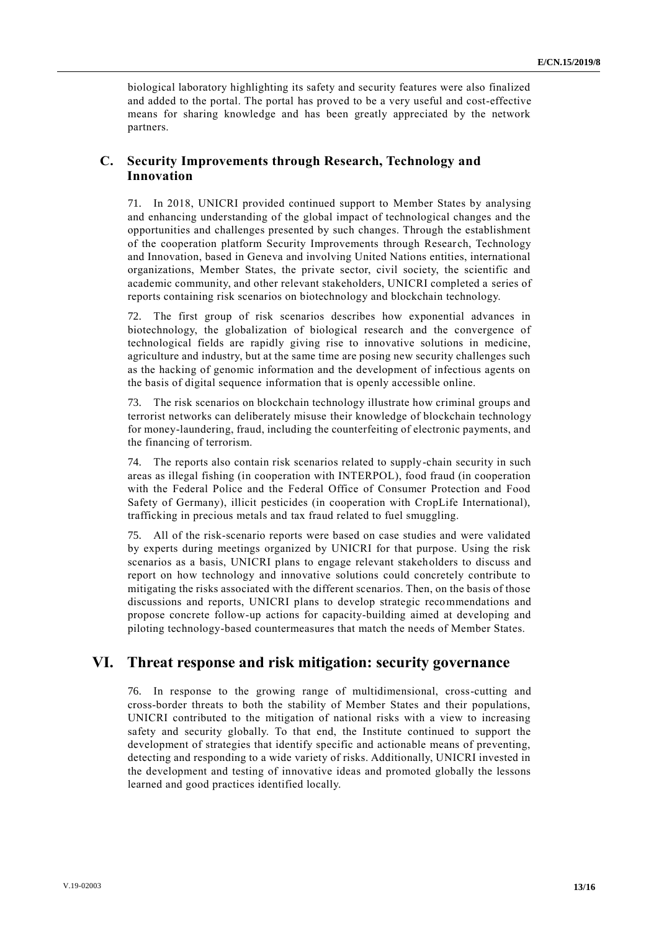biological laboratory highlighting its safety and security features were also finalized and added to the portal. The portal has proved to be a very useful and cost-effective means for sharing knowledge and has been greatly appreciated by the network partners.

#### **C. Security Improvements through Research, Technology and Innovation**

71. In 2018, UNICRI provided continued support to Member States by analysing and enhancing understanding of the global impact of technological changes and the opportunities and challenges presented by such changes. Through the establishment of the cooperation platform Security Improvements through Resear ch, Technology and Innovation, based in Geneva and involving United Nations entities, international organizations, Member States, the private sector, civil society, the scientific and academic community, and other relevant stakeholders, UNICRI completed a series of reports containing risk scenarios on biotechnology and blockchain technology.

72. The first group of risk scenarios describes how exponential advances in biotechnology, the globalization of biological research and the convergence of technological fields are rapidly giving rise to innovative solutions in medicine, agriculture and industry, but at the same time are posing new security challenges such as the hacking of genomic information and the development of infectious agents on the basis of digital sequence information that is openly accessible online.

73. The risk scenarios on blockchain technology illustrate how criminal groups and terrorist networks can deliberately misuse their knowledge of blockchain technology for money-laundering, fraud, including the counterfeiting of electronic payments, and the financing of terrorism.

74. The reports also contain risk scenarios related to supply-chain security in such areas as illegal fishing (in cooperation with INTERPOL), food fraud (in cooperation with the Federal Police and the Federal Office of Consumer Protection and Food Safety of Germany), illicit pesticides (in cooperation with CropLife International), trafficking in precious metals and tax fraud related to fuel smuggling.

75. All of the risk-scenario reports were based on case studies and were validated by experts during meetings organized by UNICRI for that purpose. Using the risk scenarios as a basis, UNICRI plans to engage relevant stakeholders to discuss and report on how technology and innovative solutions could concretely contribute to mitigating the risks associated with the different scenarios. Then, on the basis of those discussions and reports, UNICRI plans to develop strategic recommendations and propose concrete follow-up actions for capacity-building aimed at developing and piloting technology-based countermeasures that match the needs of Member States.

### **VI. Threat response and risk mitigation: security governance**

76. In response to the growing range of multidimensional, cross-cutting and cross-border threats to both the stability of Member States and their populations, UNICRI contributed to the mitigation of national risks with a view to increasing safety and security globally. To that end, the Institute continued to support the development of strategies that identify specific and actionable means of preventing, detecting and responding to a wide variety of risks. Additionally, UNICRI invested in the development and testing of innovative ideas and promoted globally the lessons learned and good practices identified locally.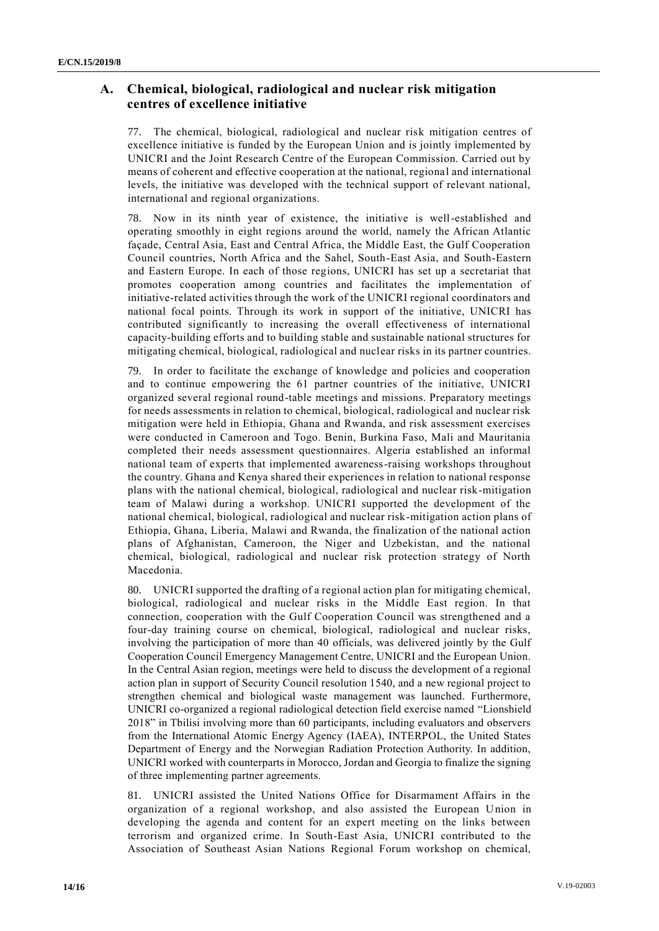### **A. Chemical, biological, radiological and nuclear risk mitigation centres of excellence initiative**

77. The chemical, biological, radiological and nuclear risk mitigation centres of excellence initiative is funded by the European Union and is jointly implemented by UNICRI and the Joint Research Centre of the European Commission. Carried out by means of coherent and effective cooperation at the national, regional and international levels, the initiative was developed with the technical support of relevant national, international and regional organizations.

78. Now in its ninth year of existence, the initiative is well-established and operating smoothly in eight regions around the world, namely the African Atlantic façade, Central Asia, East and Central Africa, the Middle East, the Gulf Cooperation Council countries, North Africa and the Sahel, South-East Asia, and South-Eastern and Eastern Europe. In each of those regions, UNICRI has set up a secretariat that promotes cooperation among countries and facilitates the implementation of initiative-related activities through the work of the UNICRI regional coordinators and national focal points. Through its work in support of the initiative, UNICRI has contributed significantly to increasing the overall effectiveness of international capacity-building efforts and to building stable and sustainable national structures for mitigating chemical, biological, radiological and nuclear risks in its partner countries.

79. In order to facilitate the exchange of knowledge and policies and cooperation and to continue empowering the 61 partner countries of the initiative, UNICRI organized several regional round-table meetings and missions. Preparatory meetings for needs assessments in relation to chemical, biological, radiological and nuclear risk mitigation were held in Ethiopia, Ghana and Rwanda, and risk assessment exercises were conducted in Cameroon and Togo. Benin, Burkina Faso, Mali and Mauritania completed their needs assessment questionnaires. Algeria established an informal national team of experts that implemented awareness-raising workshops throughout the country. Ghana and Kenya shared their experiences in relation to national response plans with the national chemical, biological, radiological and nuclear risk-mitigation team of Malawi during a workshop. UNICRI supported the development of the national chemical, biological, radiological and nuclear risk-mitigation action plans of Ethiopia, Ghana, Liberia, Malawi and Rwanda, the finalization of the national action plans of Afghanistan, Cameroon, the Niger and Uzbekistan, and the national chemical, biological, radiological and nuclear risk protection strategy of North Macedonia.

80. UNICRI supported the drafting of a regional action plan for mitigating chemical, biological, radiological and nuclear risks in the Middle East region. In that connection, cooperation with the Gulf Cooperation Council was strengthened and a four-day training course on chemical, biological, radiological and nuclear risks, involving the participation of more than 40 officials, was delivered jointly by the Gulf Cooperation Council Emergency Management Centre, UNICRI and the European Union. In the Central Asian region, meetings were held to discuss the development of a regional action plan in support of Security Council resolution 1540, and a new regional project to strengthen chemical and biological waste management was launched. Furthermore, UNICRI co-organized a regional radiological detection field exercise named "Lionshield 2018" in Tbilisi involving more than 60 participants, including evaluators and observers from the International Atomic Energy Agency (IAEA), INTERPOL, the United States Department of Energy and the Norwegian Radiation Protection Authority. In addition, UNICRI worked with counterparts in Morocco, Jordan and Georgia to finalize the signing of three implementing partner agreements.

81. UNICRI assisted the United Nations Office for Disarmament Affairs in the organization of a regional workshop, and also assisted the European Union in developing the agenda and content for an expert meeting on the links between terrorism and organized crime. In South-East Asia, UNICRI contributed to the Association of Southeast Asian Nations Regional Forum workshop on chemical,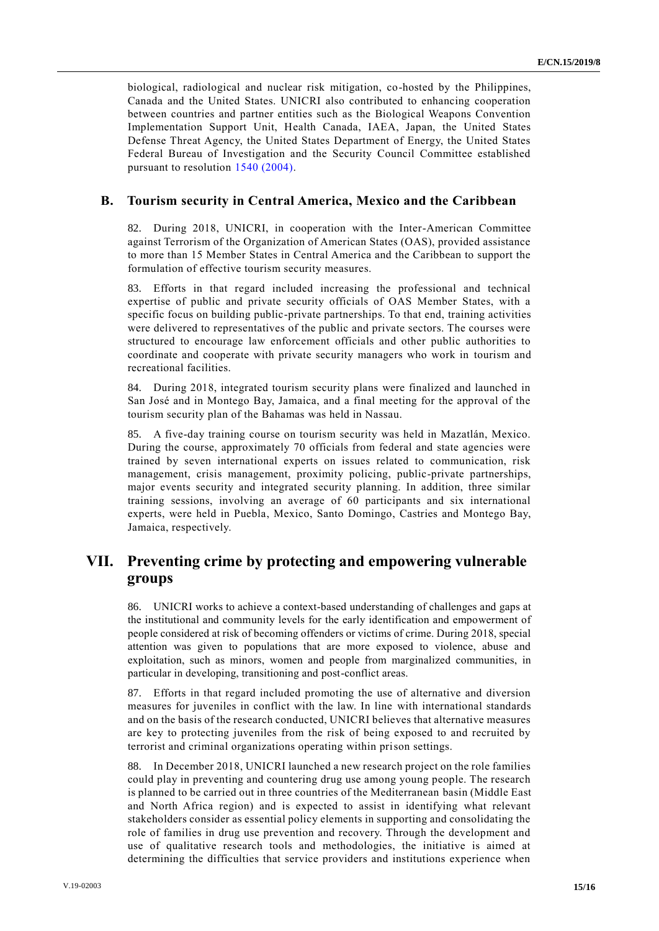biological, radiological and nuclear risk mitigation, co-hosted by the Philippines, Canada and the United States. UNICRI also contributed to enhancing cooperation between countries and partner entities such as the Biological Weapons Convention Implementation Support Unit, Health Canada, IAEA, Japan, the United States Defense Threat Agency, the United States Department of Energy, the United States Federal Bureau of Investigation and the Security Council Committee established pursuant to resolution [1540 \(2004\).](http://undocs.org/S/RES/1540(2004))

#### **B. Tourism security in Central America, Mexico and the Caribbean**

82. During 2018, UNICRI, in cooperation with the Inter-American Committee against Terrorism of the Organization of American States (OAS), provided assistance to more than 15 Member States in Central America and the Caribbean to support the formulation of effective tourism security measures.

83. Efforts in that regard included increasing the professional and technical expertise of public and private security officials of OAS Member States, with a specific focus on building public-private partnerships. To that end, training activities were delivered to representatives of the public and private sectors. The courses were structured to encourage law enforcement officials and other public authorities to coordinate and cooperate with private security managers who work in tourism and recreational facilities.

84. During 2018, integrated tourism security plans were finalized and launched in San José and in Montego Bay, Jamaica, and a final meeting for the approval of the tourism security plan of the Bahamas was held in Nassau.

85. A five-day training course on tourism security was held in Mazatlán, Mexico. During the course, approximately 70 officials from federal and state agencies were trained by seven international experts on issues related to communication, risk management, crisis management, proximity policing, public-private partnerships, major events security and integrated security planning. In addition, three similar training sessions, involving an average of 60 participants and six international experts, were held in Puebla, Mexico, Santo Domingo, Castries and Montego Bay, Jamaica, respectively.

# **VII. Preventing crime by protecting and empowering vulnerable groups**

86. UNICRI works to achieve a context-based understanding of challenges and gaps at the institutional and community levels for the early identification and empowerment of people considered at risk of becoming offenders or victims of crime. During 2018, special attention was given to populations that are more exposed to violence, abuse and exploitation, such as minors, women and people from marginalized communities, in particular in developing, transitioning and post-conflict areas.

87. Efforts in that regard included promoting the use of alternative and diversion measures for juveniles in conflict with the law. In line with international standards and on the basis of the research conducted, UNICRI believes that alternative measures are key to protecting juveniles from the risk of being exposed to and recruited by terrorist and criminal organizations operating within prison settings.

88. In December 2018, UNICRI launched a new research project on the role families could play in preventing and countering drug use among young people. The research is planned to be carried out in three countries of the Mediterranean basin (Middle East and North Africa region) and is expected to assist in identifying what relevant stakeholders consider as essential policy elements in supporting and consolidating the role of families in drug use prevention and recovery. Through the development and use of qualitative research tools and methodologies, the initiative is aimed at determining the difficulties that service providers and institutions experience when